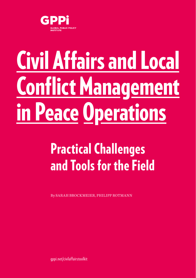

# Civil Affairs and Local Conflict Management in Peace Operations

# Practical Challenges and Tools for the Field

By SARAH BROCKMEIER, PHILIPP ROTMANN

[gppi.net/civilaffairstoolkit](http://gppi.net/civilaffairstoolkit)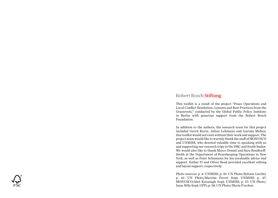#### **Robert Bosch Stiftung**

This toolkit is a result of the project "Peace Operations and Local Conflict Resolution: Lessons and Best Practices from the Grassroots," conducted by the Global Public Policy Institute in Berlin with generous support from the Robert Bosch Foundation.

In addition to the authors, the research team for this project included Gerrit Kurtz, Julian Lehmann and Garima Mohan; this toolkit would not exist without their work and support. The project team would like to warmly thank the staff of MONUSCO and UNMISS, who devoted valuable time to speaking with us and supporting our research trips to the DRC and South Sudan. We would also like to thank Marco Donati and Sara Rendtorff-Smith at the Department of Peacekeeping Operations in New York, as well as Peter Schumann for his invaluable advice and support. Esther Yi and Oliver Read provided excellent editing and layout support, respectively.

Photo sources: p. 4: UNMISS; p. 10: UN Photo/Sylvain Liechti; p. 41: UN Photo/Martine Perret (top), UNMISS; p. 47: MONUSCO/Abel Kavanagh (top), UNMISS; p. 57: UN Photo/ Isaac Billy (top), GPPi; p. 58: UN Photo/Marie Frechon

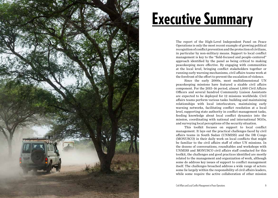

# Executive Summary

The report of the High-Level Independent Panel on Peace Operations is only the most recent example of growing political recognition of conflict prevention and the protection of civilians, in particular by non-military means. Support to local conflict management is key to the "field-focused and people-centered" approach identified by the panel as being critical to making peacekeeping more effective. By engaging with communities at the local level, bringing conflict stakeholders together or running early warning mechanisms, civil affairs teams work at the forefront of the effort to prevent the escalation of violence.

Since the early 2000s, most multidimensional UN peacekeeping missions have featured a sizable civil affairs component. For the 2015–16 period, almost 1,000 Civil Affairs Officers and several hundred Community Liaison Assistants are expected to be deployed for 12 missions worldwide. Civil affairs teams perform various tasks: building and maintaining relationships with local interlocutors, maintaining early warning networks, facilitating conflict resolution at a local level, supporting state authority in conflict management tasks, feeding knowledge about local conflict dynamics into the mission, coordinating with national and international NGOs, and surveying local perceptions of the security situation.

This toolkit focuses on support to local conflict management. It lays out the practical challenges faced by civil affairs teams in South Sudan (UNMISS) and the DR Congo (MONUSCO) in their daily work on local conflicts that might be familiar to the civil affairs staff of other UN missions. In the dozens of conversations, roundtables and workshops with UNMISS and MONUSCO civil affairs staff conducted for this toolkit, the challenges and good practices identified are mostly related to the management and organization of work, although some do address key issues of support to conflict management itself. The challenges broached address a wide range of actors: some lie largely within the responsibility of civil affairs leaders, while some require the active collaboration of other mission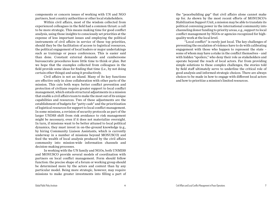components or concern issues of working with UN and NGO partners, host country authorities or other local stakeholders.

Within civil affairs, most of the wisdom collected from experienced colleagues in the field had a common thrust: a call to be more strategic. This means making time for good conflict analysis, using those insights to consciously set priorities at the expense of less important issues and employing the political instruments of civil affairs in service of these top priorities, should they be the facilitation of access to logistical resources, the political engagement of local leaders or major undertakings such as trainings or peace conferences. This is easier said than done. Constant external demands and cumbersome bureaucratic procedures leave little time to think or plan. But we hope that the examples collected from colleagues in the field provide some ideas for finding that time (i.e., by not doing certain other things) and using it productively.

Civil affairs is not an island. Many of its key functions are effective only in close collaboration with other parts of the mission. This cuts both ways: better conflict prevention and protection of civilians require greater support to local conflict management, which entails structural adjustments in a mission that enable a civil affairs team to make the most out of its unique capabilities and resources. Two of these adjustments are the establishment of budgets for "petty cash" and the prioritization of logistical resources for support to local conflict management. In some missions, a revision of security protocols as part of the larger UNDSS shift from risk avoidance to risk management might be necessary, even if it does not materialize overnight. In turn, if missions want to be better attuned to local political dynamics, they must invest in on-the-ground knowledge (e.g., by hiring Community Liaison Assistants, which is currently underway in a number of missions beyond MONUSCO) and feed the wealth of local analysis produced by the civil affairs community into mission-wide information channels and decision-making processes.

In working with the UN family and NGOs, both UNMISS and MONUSCO provide several models of coordination with partners on local conflict management. Form should follow function: the precise shape of a forum or working group should be determined more by the actors and context than by any particular model. Being more strategic, however, may require missions to make greater investments into filling a part of the "peacebuilding gap" that civil affairs alone cannot make up for. As shown by the most recent efforts of MONUSCO's Stabilization Support Unit, a mission may be able to translate its political convening power in the international community into channeling donor funding to priority areas, e.g., support to local conflict management by NGOs or agencies recognized for highquality work at the local level.

"Local conflict" is rarely just local. The key challenges of preventing the escalation of violence have to do with calibrating engagement with those who happen to represent the state – some of whom may have a stake in the conflict themselves – and with hidden "spoilers," who deny their role as stakeholders and operate beyond the reach of local actors. Far from providing simple solutions to these complex challenges, the stories told by field staff ultimately serve to underline the critical role of good analysis and informed strategic choices. There are always choices to be made in how to engage with different local actors and how to prioritize a mission's limited resources.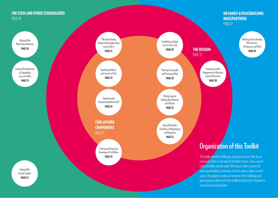#### [THE STATE AND OTHER STAKEHOLDERS](#page-48-0) [PAGE 49](#page-48-0)

[UN FAMILY & PEACEBUILDING](#page-36-0)  [NGOS/PARTNERS](#page-36-0)  [PAGE 37](#page-36-0)

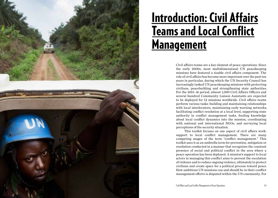

# Introduction: Civil Affairs **Teams and Local Conflict Management**

Civil affairs teams are a key element of peace operations. Since the early 2000s, most multidimensional UN peacekeeping missions have featured a sizable civil affairs component. The role of civil affairs has become more important over the past ten years in particular, during which the UN Security Council has increasingly tasked UN peacekeeping missions with protecting civilians, peacebuilding and strengthening state authorities. For the 2015–16 period, almost 1,000 Civil Affairs Officers and several hundred Community Liaison Assistants are expected to be deployed for 12 missions worldwide. Civil affairs teams perform various tasks: building and maintaining relationships with local interlocutors, maintaining early warning networks, facilitating conflict resolution at a local level, supporting state authority in conflict management tasks, feeding knowledge about local conflict dynamics into the mission, coordinating with national and international NGOs, and surveying local perceptions of the security situation.

This toolkit focuses on one aspect of civil affairs work: support to local conflict management. There are many competing usages of the term "conflict management." This toolkit uses it as an umbrella term for prevention, mitigation or resolution conducted in a manner that recognizes the constant presence of social and political conflict in the area where a peace operation has been deployed. A mission's support to local actors in managing this conflict aims to prevent the escalation of violence and to reduce ongoing violence, ultimately to protect civilians and create space for a political process toward peace. How ambitious UN missions can and should be in their conflict management efforts is disputed within the UN community. For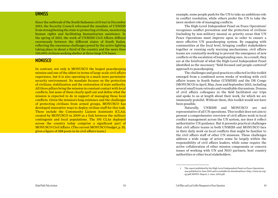#### **UNMISS**

Since the outbreak of the South Sudanese civil war in December 2013, the Security Council refocused the mandate of UNMISS from strengthening the state to protecting civilians, monitoring human rights and facilitating humanitarian assistance. In the spring of 2015, the work of UNMISS Civil Affairs differed enormously between the different states of South Sudan, reflecting the enormous challenges posed by the active fighting taking place in about a third of the country and the more than 150,000 civilians seeking shelter at three large UN bases.

#### **MONUSCO**

In contrast, not only is MONUSCO the largest peacekeeping mission and one of the oldest in terms of large-scale civil affairs experience, but it is also operating in a much more permissive security environment. Its mandate focuses on the protection of civilians, stabilization and the restoration of state authority. All three pillars bring the mission in constant contact with local conflicts, but none of them clearly spell out and define what the mission is expected to do in support of managing these local conflicts. Given the mission's long existence and the challenges of protecting civilians from armed groups, MONUSCO has developed innovative ways to deploy civilian staff for this task. These include the Community Liaison Assistants (CLAs), created by MONUSCO in 2009 as a link between the military contingents and local populations. The 193 CLAs deployed across the country today comprise a significant part of MONUSCO Civil Affairs. (The current MONUSCO budget, p. 35, gives a figure of 288 posts in its civil affairs team.)

example, some people push for the UN to take an ambitious role in conflict resolution, while others prefer the UN to take the more modest role of managing conflicts.

The High-Level Independent Panel on Peace Operations<sup>1</sup>  $\overline{a}$ recognizes conflict prevention and the protection of civilians (including by non-military means) as priority areas that UN Peace Operations must improve upon in order to ensure a more effective UN peacekeeping system. By engaging with communities at the local level, bringing conflict stakeholders together or running early warning mechanisms, civil affairs teams are constantly working to prevent the emergence of new conflicts or the escalation of longstanding ones. As a result, they are at the forefront of what the High-Level Independent Panel identified as the necessary "field-focused and people-centered" approach to peacekeeping.

The challenges and good practices collected in this toolkit emerged from a combined seven weeks of working with civil affairs teams in South Sudan (UNMISS) and the DR Congo (MONUSCO) in April, May, June and September 2015, including several small team retreats and roundtable discussions. Dozens of civil affairs colleagues in the field facilitated our trips and spoke to us at length about their work, for which we are immensely grateful. Without them, this toolkit would not have been possible.

Naturally, UNMISS and MONUSCO are not representative of all UN operations. This toolkit does not aim to present a comprehensive overview of civil affairs work in local conflict management across the UN system, nor does it reflect authoritative UN guidance. But it presents practical challenges that civil affairs teams in both UNMISS and MONUSCO face in their daily work on local conflicts that might be familiar to the civil affairs staff of other UN missions. These challenges address a wide range of actors: some lie largely within the responsibility of civil affairs leaders, while some require the active collaboration of other mission components or concern issues of working with UN and NGO partners, host country authorities or other local stakeholders.

<sup>1</sup> The report published by the High-Level Independent Panel on Peace Operations was published in June 2015 and is available for download here: http://www.un.org/ sg/pdf/HIPPO\_Report\_1\_June\_2015.pdf.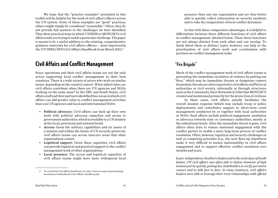We hope that the "practice examples" presented in this toolkit will be helpful for the work of civil affairs officers across the UN system. Some of these examples are "good" practices; others might simply be considered "reasonable." Often, they do not provide full answers to the challenges we have identified. They show practical ways in which UNMISS or MONUSCO civil affairs units are trying to tackle a particular challenge. The paper is meant to be a useful addition to the existing, comprehensive guidance materials for civil affairs officers – most importantly, the UN DPKO/DFS Civil Affairs Handbook from March 2012.<sup>2</sup>

### Civil Affairs and Conflict Management

Peace operations and their civil affairs teams are not the only actors supporting local conflict management in their host countries. There is a wide variety of actors who work on similar issues, depending on the country context. What added value can civil affairs contribute when there are UN agencies and NGOs working on the same issue? In the DRC and South Sudan, civil affairs staff and their partners identified four areas in which civil affairs can add greater value to conflict management activities than can UN agencies and local and international NGOs:

- Political advocacy: Civil affairs can back up their own work with political advocacy capacities and access to government authorities, which is available to a UN mission at the local, provincial and national levels.
- Access: Given the military capabilities and air assets of a mission and within the limits of UN security protocols, civil affairs teams can access insecure areas that other organizations cannot.
- Logistical support: Given these capacities, civil affairs can provide logistical and practical support to the conflict management work of other organizations.
- Local presence: The access and logistical capacities of civil affairs teams might have more widespread local

presence than any one organization and are thus better able to quickly collect information on security incidents and to take the temperature of local conflict dynamics.

In line with these comparative advantages, it is helpful to differentiate between three different functions of civil affairs in conflict management, detailed below. These three functions are not always distinct from each other and can overlap. To think about them as distinct types, however, can help in the prioritization of civil affairs work and coordination with partners on conflict management tasks.

#### **"Fire Brigade"**

Much of the conflict management work of civil affairs teams is preventing the immediate escalation of violence by putting out "fires," which may be immediate threats or dangerous rumors. Immediate threats are often reported to civil affairs staff by local authorities or civil society, informally or through structures such as the Community Alert Networks (CANs) that MONUSCO created and maintained primarily for the protection of civilians.

In these cases, civil affairs usually facilitates the overall mission response (which may include troop or police deployments) and contributes support to short-term crisis management conducted by or together with local authorities or NGOs. Such efforts include political engagement, mediation or advocacy towards state or customary authorities, mostly at the subnational levels. After the immediate threat is gone, civil affairs often tries to ensure sustained engagement with the conflict parties to enable a more long-term process of conflict resolution. Often, however, logistical and security challenges as well as competing priorities (e.g., the next flare-up elsewhere) make it very difficult to ensure sustainability in civil affairs engagement and to support effective conflict resolution over months and years.

*In pre-independence Southern Sudan and in the early days of South Sudan, UN civil affairs was often able to defuse moments of high tension just by quickly getting key stakeholders to verify pervasive rumors and to talk face to face. In many instances, civil affairs leaders were able to leverage their trust relationships with official* 

<sup>2</sup> To consult the Civil Affairs Handbook, see: [http://www.un.org/en/peacekeeping/](http://www.un.org/en/peacekeeping/documents/civilhandbook/Civil_Affairs_Handbook.pdf) [documents/civilhandbook/Civil\\_Affairs\\_Handbook.pdf](http://www.un.org/en/peacekeeping/documents/civilhandbook/Civil_Affairs_Handbook.pdf).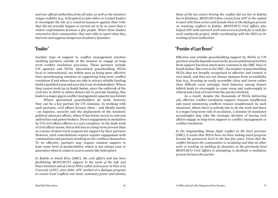*and non-official authorities from all sides, as well as the mission's unique mobility (e.g., helicopters) to take elders or trusted leaders to investigate the site of a rumored massacre against their tribe that did not actually happen or turned out to be no more than a violent confrontation between a few people. When these leaders returned to their communities, they were able to report what they had seen and suppress dangerous escalatory dynamics.* 

#### **"Enabler"**

Another type of support to conflict management involves enabling partners outside of the mission to engage in longterm conflict resolution processes. These partners include UN agencies and NGOs. Specialized peacebuilding NGOs, local or international, are widely seen as being more effective than peacekeeping missions at supporting long-term conflict resolution if and where they are able to attract reliable funding, build a qualified team and earn the trust of stakeholders. Where they cannot work (as in South Sudan, since the outbreak of the civil war in 2013) or where donors fail to provide funding, this leads to a major gap in conflict management capacity (see below).

Where specialized peacebuilders do work, however, they can be a key partner for UN missions. In working with such partners, civil affairs focuses often – and ideally mostly – on logistics, security and the deployment of the mission's political advocacy efforts, where it has better access to relevant authorities and power brokers. Direct engagement in mediation by UN civil affairs officers is a rare exception. In the daily work of civil affairs teams, this is felt less as a long-term process than as a series of short-term requests for support by their partners. However, such contributions require regular engagement with communities and partners working on the conflicts themselves. To be effective, partners may require mission support to have some level of predictability, which is not always easy to guarantee when it comes to scarce assets like helicopters.

*In Kalehe in South Kivu (DRC), the civil affairs unit has been facilitating MONUSCO's support to the work of the Life and Peace Institute and of a local NGO, called Action pour la Paix et la Concorde (APC), since 2014. APC worked on a dialogue program to resolve local conflicts over land, customary power and identity.*  *Some of the key actors driving the conflict did not live in Kalehe, but in Kinshasa. MONUSCO flew a team from APC to the capital to meet with these actors and include them in the dialogue process on resolving conflicts in Kalehe. MONUSCO Civil Affairs also helped APC with outreach work and access to funds for a cash-forwork roadworks project, while coordinating with the NGO on its training of local authorities.*

#### **"Provider of Last Resort"**

Effective and reliable peacebuilding support by NGOs or UN partners usually depends on security, access and donor priorities. Such support has been much more common in the DRC than in South Sudan. But even in the DRC, the number of peacebuilding NGOs that are broadly recognized as effective and trusted is very small, and they are not always immune from accessibility bias (e.g., focusing on easily accessible cities and towns rather than difficult rural settings), herd behavior among donors (which leads to oversupply in some areas and undersupply in others) and a loss of trust from the parties involved.

As a result, despite the thousands of NGOs delivering aid, effective conflict resolution support remains insufficient, and many simmering conflicts remain unaddressed. In such situations, where there is nobody else to do the work and there is a major long-term risk of escalation, a mission (if mandated accordingly) may take the strategic decision of having civil affairs engage in long-term support to conflict management or conflict resolution.

*In the longstanding Hema–Ngiti conflict in the Ituri province (DRC), it seems that NGOs have not been making much progress beyond the grassroots level in the last few years. Given that the conflict between the communities is escalating and that no other actor is working on tackling its dynamics at the provincial level, MONUSCO Civil Affairs is attempting to facilitate a mediation process between the parties.*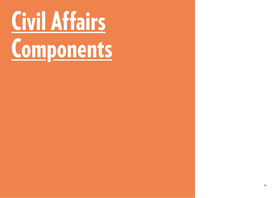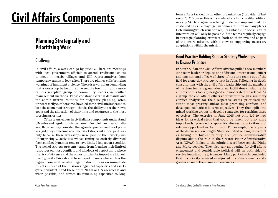# Civil Affairs Components

### Planning Strategically and Prioritizing Work

#### **Challenge**

In civil affairs, a week can go by quickly. There are meetings with local government officials to attend, traditional chiefs to meet in nearby villages and IDP representatives from temporary camps to look after. There are phones calls bringing warnings of imminent violence. There is a workplan demanding that a workshop be held in some remote town to train a more or less receptive group of community leaders in conflict management methods. These constant external demands and the administrative routines for budgetary planning, often unnecessarily cumbersome, have led some civil affairs teams to lose the element of strategy – that is, the ability to set their own goals and the allocation of their time and resources to the most pressing priorities.

Often team leaders in civil affairs components understand UN rules and regulations to be more inflexible than they actually are. Because they consider the agreed-upon annual workplans as rigid, they sometimes conduct workshops with local partners only because these workshops were part of their workplans. Unsurprisingly, activities whose timing is entirely divorced from conflict dynamics tend to have limited impact on a conflict. The lack of strategy prevents teams from focusing their limited resources on those conflicts and windows of opportunity where the risk of violence and the opportunities for impact are highest. Ideally, civil affairs should be engaged in areas where it has the biggest comparative advantage. It should focus on immediate threats in need of the mission's logistical capacities and assets ("fire brigade"), hand these off to NGOs or UN agencies if and when possible, and devote its remaining capacities to long-

term efforts tackled by no other organization ("provider of last resort"). Of course, this works only where high-quality political work by NGOs or agencies is being funded and implemented on a sustained basis – a major gap in donor attention in many places. Determining which situation requires which kind of civil affairs intervention will only be possible if the teams regularly engage in strategic planning exercises, both on their own and as part of the entire mission, with a view to supporting necessary adaptations within the mission.

#### **Good Practice: Holding Regular Strategy Workshops to Discuss Priorities**

In South Sudan, the Civil Affairs Division pulled a few members (one team leader or deputy, one additional international officer and one national officer) of three of its state teams out of the field for a one-day strategy retreat in Juba. Following in-depth consultations with the civil affairs leadership and the members of the three teams, a group of external facilitators (including the authors of this toolkit) designed and moderated the retreat. As a group, the civil affairs officers first went through a summary conflict analysis for their respective states, prioritized the state's most pressing and/or most promising conflicts, and developed realistic mid-term objectives. They then split into mixed working groups to develop strategies for reaching these objectives. The exercise in June 2015 not only led to new ideas for practical steps that could be taken, but also, more importantly, provided a space for discussing priorities and relative opportunities for impact. For example, participants of the discussion on Jonglei State identified one major conflict as having the highest priority: the political-administrative dispute about the role of the Greater Pibor Administrative Area (GPAA), linked to the ethnic discord between the Dinka and Murle peoples. They also saw an opening for civil affairs engagement and considerable political will on both sides to resolve longstanding grievances. Many participants concluded that this priority required an adjusted mix of instruments and a greater share of their time and resources.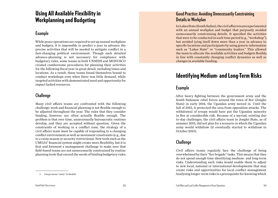## Using All Available Flexibility in Workplanning and Budgeting

#### **Example**

While peace operations are required to set up annual workplans and budgets, it is impossible to predict a year in advance the precise activities that will be needed to mitigate conflict in a fast-changing political environment. Though such detailed advance-planning is not necessary for compliance with budgetary rules, some teams in both UNMISS and MONUSCO created cumbersome procedures for planning their activities for the following fiscal year in great detail, including times and locations. As a result, these teams found themselves bound to conduct workshops even when there was little demand, while targeted activities with demonstrated need and opportunity for impact lacked resources.

#### **Challenge**

Many civil affairs teams are confronted with the following challenge: work and financial planning is not flexible enough to be adjusted throughout the year. The rules that they consider binding, however, are often actually flexible enough. The problem is that over time, unnecessarily bureaucratic routines develop, and they are accepted without question. Given the constraints of working in a conflict zone, the strategy of a civil affairs team must be capable of responding to a changing conflict environment as well as movement constraints (e.g., due to a rainy season or security restrictions). New tools such as the UMOJA<sup>3</sup> financial system might create more flexibility, but it is first and foremost a management challenge to make sure that field-based teams are not unnecessarily constrained by routine planning tools that exceed the needs of binding budgetary rules.

#### **Good Practice: Avoiding Unnecessarily Constraining Details in Workplan**

In Lakes State (South Sudan), the civil affairs team experimented with an annual workplan and budget that purposely avoided unnecessarily constraining details. It specified the activities that were to be conducted in each time period (e.g., "workshop"), but avoided tying itself down more than a year in advance to specific locations and participants by using generic information such as "Lakes State" or "community leaders." This allowed the team to allocate the available activities and budgets flexibly, in line with constantly changing conflict dynamics as well as changes in available funding.

## Identifying Medium- and Long-Term Risks

#### **Example**

After heavy fighting between the government army and the South Sudanese rebel forces around the town of Bor (Jonglei State) in early 2014, the Ugandan army moved in. Until the fall of 2015, it protected the area from opposition attacks. The withdrawal of troops would have put the Ugandan minority in Bor at considerable risk. Because of a myriad, existing dayto-day challenges, the civil affairs team in Jonglei State, as of summer 2015, did not plan for a scenario in which the Ugandan army would withdraw (it eventually started to withdraw in October 2015).

#### **Challenge**

Civil affairs teams regularly face the challenge of being overwhelmed by their "fire brigade" tasks. This means that they do not spend enough time identifying medium- and long-term risks. Understanding such risks would enable them to adjust to new local, national or international developments that may create risks and opportunities for local conflict management. Analyzing longer-term risks is a prerequisite for knowing which

<sup>3</sup> *Umoja* means "unity" in Swahili.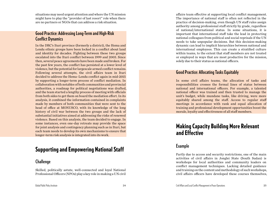situations may need urgent attention and where the UN mission might have to play the "provider of last resort" role when there are no partners or NGOs that can address a risk situation.

#### **Good Practice: Addressing Long-Term and High-Risk Conflict Dynamics**

In the DRC's Ituri province (formerly a district), the Hema and Lendu ethnic groups have been locked in a conflict about land and identity for decades. Fighting between these two groups escalated into the Ituri conflict between 1999 and 2003. Since then, several peace agreements have been made and broken. For the past few years, the conflict has persisted at a lower level of violence, but the potential for largescale armed conflict remains. Following several attempts, the civil affairs team in Ituri decided to address the Hema–Lendu conflict again in mid-2015 by supporting a longer-term process of conflict mediation. In collaboration with notables of both communities and provincial authorities, a roadmap for political negotiations was drafted, and the team started a lengthy process of meeting with officials from both sides to get them on board the mediation effort. In its analysis, it combined the information contained in complaints made by members of both communities that were sent to the head of office at MONUSCO, with its knowledge of the long history of civil war between the two groups and the lack of substantial initiatives aimed at addressing the risks of renewed violence. Based on this analysis, the team decided to engage. In some instances, even one-day retreats may provide the space for joint analysis and contingency planning such as in Ituri, but each team needs to develop its own mechanisms to ensure that longer-term risk analysis is integrated into its work.

## Supporting and Empowering National Staff

#### **Challenge**

Skilled, politically astute, well-connected and loyal National Professional Officers (NPOs) play a key role in making a UN civil

affairs team effective at supporting local conflict management. The importance of national staff is often not reflected in the practice of decision-making, even though UN staff rules assign authority among professional staff strictly by grade, regardless of national/international status. In some situations, it is important that international staff take the lead in protecting national colleagues from political and social reprisals if the UN needs to take unpopular decisions. But this decision-making dynamic can lead to implicit hierarchies between national and international employees. This can create a stratified culture within teams, to the extent that staff members are not treated or employed in ways that are most productive for the mission, solely due to their status as national officers.

#### **Good Practice: Allocating Tasks Equitably**

In some civil affairs teams, the allocation of tasks and responsibilities crosses the formal lines of status between national and international officers. For example, a talented national officer was trained and then trusted to manage the unit's budget, while mundane tasks, like driving, were more equitably shared among the staff. Access to regular staff meetings in accordance with rank and equal allocation of training and professional development opportunities boost the morale, loyalty and effectiveness of all staff members.

## Making Capacity Building More Relevant and Effective

#### **Example**

Partly due to access and security restrictions, one of the main activities of civil affairs in Jonglei State (South Sudan) is workshops for local authorities and community leaders on conflict management techniques. Lacking detailed guidance and training on the content and methodology of such workshops, civil affairs officers have developed these courses themselves,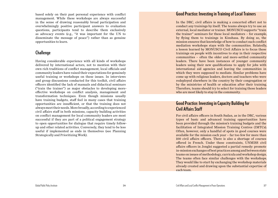based solely on their past personal experience with conflict management. While these workshops are always successful in the sense of drawing reasonably broad participation and overwhelmingly positive participant answers to evaluation questions, participants tend to describe them exclusively as advocacy events (e.g., "it was important for the UN to disseminate the message of peace") rather than as genuine opportunities to learn.

#### **Challenge**

Having considerable experience with all kinds of workshops delivered by international actors, not to mention with their own rich traditions of conflict management, local officials and community leaders have raised their expectations for genuinely useful training or workshops on these issues. In interviews and group discussions conducted for this toolkit, civil affairs officers identified the lack of manuals and didactical seminars ("train the trainer") as major obstacles to developing moreeffective workshops on conflict analysis, management and transformation techniques. Even though missions usually have training budgets, staff feel in many cases that training opportunities are insufficient, or that the training does not always meet their needs. More broadly, according to experienced civil affairs staff in both missions, capacity building activities on conflict management for local community leaders are most successful if they are part of a political engagement strategy to open opportunities for dialogue that require timely followup and other related activities. Conversely, they tend to be less useful if implemented as ends in themselves (see Planning Strategically and Prioritizing Work).

#### **Good Practice: Investing in Training of Local Trainers**

In the DRC, civil affairs is making a concerted effort not to conduct any trainings by itself. The teams always try to use an external, local mediator or trainer. MONUSCO supports "train the trainer" seminars for these local mediators – for example, by flying them to trainings in Kinshasa. By doing so, the mission ensures that knowledge of how to conduct such conflict mediation workshops stays with the communities. Relatedly, a lesson learned by MONUSCO Civil Affairs is to focus these trainings on people with incentives to stay in their respective communities – often the older and more-settled community leaders. There have been instances of younger community leaders using their new qualifications to apply for jobs with international aid agencies and leaving the communities in which they were supposed to mediate. Similar problems have come up with religious leaders, doctors and teachers who were redeployed elsewhere in the country by their congregation or by the ministries of health or education after their training. Therefore, teams should try to select for training those leaders who are most likely to stay in the community.

#### **Good Practice: Investing in Capacity Building for Civil Affairs Staff**

For civil affairs officers in South Sudan, as in the DRC, various types of basic and advanced training opportunities have been provided through the mission's training budgets and the facilitation of Integrated Mission Training Centres (IMTCs). Often, however, only a handful of spots in good courses were available for the mission each year – far too few for more than 100 civil affairs officers. There is also a shortage of courses offered in French. Under these constraints, UNMISS civil affairs officers in Jonglei suggested a partial remedy: promote in-mission exchanges of best practices among and between state teams on issues of methodology, curricula and workshop design. The teams often face similar challenges with the workshops. They would like to start by exchanging the workshop materials already created and drawing upon the substantial expertise of each team.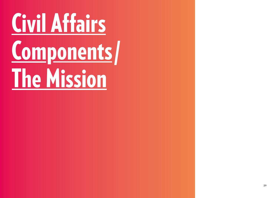# Civil Affairs Components/ **The Mission**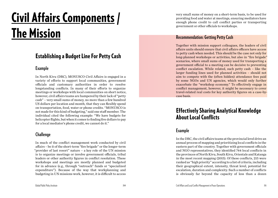# The Mission Civil Affairs Components /

## Establishing a Budget Line For Petty Cash

#### **Example**

In North Kivu (DRC), MONUSCO Civil Affairs is engaged in a variety of efforts to support local communities, government officials and customary authorities in order to resolve longstanding conflicts. In many of their efforts to organize meetings or workshops with local communities on short notice, however, civil affairs teams are hampered by their lack of "petty cash" – very small sums of money, no more than a few hundred US dollars per location and month, that they can flexibly spend on transportation, food, water or phone credits. "MONUSCO is not made for this kind of budgeting," said one staff member. The individual cited the following example: "We have budgets for helicopter flights, but when it comes to finding five dollars to pay for a local mediator's phone credit, we cannot do it."

#### **Challenge**

In much of the conflict management work conducted by civil affairs – be it of the short-term "fire brigade" or the longer-term "provider of last resort" nature – a key role of the UN mission is to organize meetings or involve government officials, tribal leaders or other authority figures in conflict resolution. These workshops and meetings are mostly planned and budgeted for in advance (e.g., through "outreach" funds or "specialized expenditure"). Because of the way that workplanning and budgeting in UN missions work, however, it is difficult to access

very small sums of money on a short-term basis, to be used for providing food and water at meetings, ensuring mediators have enough phone credit to call conflict parties or transporting government or other officials to workshops.

#### **Recommendation: Getting Petty Cash**

Together with mission support colleagues, the leaders of civil affairs units should ensure that civil affairs officers have access to petty cash when needed. This should be the case not only for long-planned workshops or activities, but also in "fire brigade" scenarios, where small sums of money used for transporting a government official to a meeting can be decisive to preventing conflict escalation. While related, such petty cash – like the larger funding lines used for planned activities – should not aim to compete with the (often hidden) attendance fees paid by some NGOs and UN agencies, which would only further exacerbate the "workshop economy." To effectively engage in conflict management, however, it might be necessary to cover travel-related real costs for key authority figures on a case-bycase basis.

## Effectively Sharing Analytical Knowledge About Local Conflicts

#### **Example**

In the DRC, the civil affairs teams at the provincial level drive an annual process of mapping and prioritizing local conflicts in the eastern part of the country. Together with government officials and NGO representatives, they identified 744 local conflicts in the provinces of North Kivu, South Kivu, Orientale and Katanga in the most recent mapping (2015). Of these conflicts, 215 were ranked as "high priority" according to a list of criteria, including their geographical extent, intensity, threat level, potential for escalation, duration and complexity. Such a number of conflicts is obviously far beyond the capacity of less than a dozen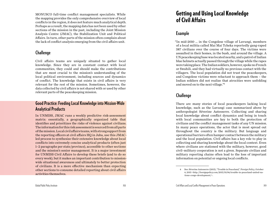MONUSCO full-time conflict management specialists. While the mapping provides the only comprehensive overview of local conflicts in the region, it does not feature much analytical depth. Perhaps as a result, the mapping data has not been used by other sections of the mission in the past, including the Joint Mission Analysis Centre (JMAC), the Stabilization Unit and Political Affairs. In turn, other parts of the mission often complain about the lack of conflict analysis emerging from the civil affairs unit.

#### **Challenge**

Civil affairs teams are uniquely situated to gather local knowledge. Since they are in constant contact with local communities, they could and should make the contributions that are most crucial to the mission's understanding of the local political environment, including sources and dynamics of conflict. The knowledge that exists in civil affairs is very relevant for the rest of the mission. Sometimes, however, the data collected by civil affairs is not shared with or used by other relevant parts of the peacekeeping mission.

#### **Good Practice: Feeding Local Knowledge into Mission-Wide Analytical Products**

In UNMISS, JMAC runs a weekly predictive risk-assessment matrix: essentially, a geographically organized table that identifies and prioritizes the risks of violence against civilians. The information for this risk assessment is sourced from all parts of the mission. Local civil affairs teams, with strong support from the reporting officers at civil affairs HQ in Juba, use this JMACled process to synthesize their extensive knowledge about local conflicts into extremely concise analytical products (often just 1–2 paragraphs per state/province), accessible to other sections and the mission's senior management. It is a major investment for UNMISS Civil Affairs to develop these briefs (and to do so every week), but it makes an important contribution to missionwide situational awareness and ultimately to better protection of civilians. It is a more effective mechanism than expecting other sections to consume detailed reporting about civil affairs activities themselves.

## Getting and Using Local Knowledge of Civil Affairs

#### **Example**

"In mid-2010 … in the Congolese village of Luvungi, members of a local militia called Mai Mai Tcheka reportedly gang-raped 387 civilians over the course of four days. The victims were assaulted in their homes, in the bush, and around the village. A UN peacekeeping base was located nearby, and a patrol of Indian blue helmets actually passed through the village while the rapes were taking place. The Indian soldiers, however, spoke no French or Swahili, and they had virtually no previous contact with the villagers. The local population did not trust the peacekeepers, and Congolese victims were reluctant to approach them – the Indian soldiers did not realize that atrocities were unfolding and moved on to the next village."4

#### **Challenge**

There are many stories of local peacekeepers lacking local knowledge, such as the Luvungi case summarized above by anthropologist Séverine Autesserre. Collecting and sharing local knowledge about conflict dynamics and being in touch with local communities are key to both the protection of civilians and the conflict management tasks of any UN mission. In many peace operations, the actor that is most spread out throughout the country is the military. But language and operational barriers often hamper contact between the military and the local population. Civil affairs has a key role to play in collecting and sharing knowledge about the local context. Even where civilians are stationed with the military, however, good civil–military cooperation is not a given. Separate civilian and military reporting chains often lead to the loss of important information on potential or ongoing local conflicts.

<sup>4</sup> See: Séverine Autesserre (2015), "Trouble in Peaceland," *Foreign Policy*, October 6, 2015 <http://foreignpolicy.com/2015/10/06/trouble-in-peaceland-united-nations-congo-development/>.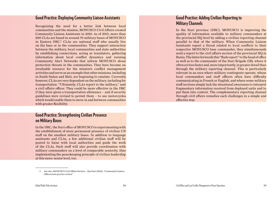#### **Good Practice: Deploying Community Liaison Assistants**

Recognizing the need for a better link between local communities and the mission, MONUSCO Civil Affairs created Community Liaison Assistants in 2010. As of 2015, more than 200 CLAs are based in around 70 military bases of MONUSCO in Eastern DRC.5 CLAs are national staff who usually live on the base or in the communities. They support interaction between the military, local communities and state authorities by establishing connections, acting as translators, gathering information about local conflict dynamics and running Community Alert Networks that inform MONUSCO about protection threats in the communities. They have become an invaluable resource for the mission's conflict management activities and serve as an example that other missions, including in South Sudan and Mali, are beginning to emulate. Currently, however, CLAs are very dependent on the military, including for transportation. "Ultimately, CLAs report to the military," said a civil affairs officer. They could be more effective in the DRC if they were given a transportation allowance – and if security guidelines were revised to permit them – to use motorcycles, which would enable them to move in and between communities with greater flexibility.

#### **Good Practice: Strengthening Civilian Presence on Military Bases**

In the DRC, the Ituri office of MONUSCO is experimenting with the establishment of more permanent presence of civilian UN staff on the smallest military bases. In addition to language assistants and CLAs, a few additional civilian staff will be posted to liaise with local authorities and guide the work of the CLAs. Such staff will also provide coordination with military commanders on a level of comparable seniority, thus implementing the peacekeeping principle of civilian leadership at this more-senior level, too.

#### **Good Practice: Adding Civilian Reporting to Military Channels**

In the Ituri province (DRC), MONUSCO is improving the quality of information available to military commanders at the provincial HQ level by adding a civilian reporting channel parallel to that of the military. When Community Liaison Assistants report a threat related to local conflicts to their respective MONUSCO base commander, they simultaneously send a report to the civil affairs section of the provincial HO in Bunia. The latter forwards this "flash report" to the head of office as well as to the commander of the Ituri Brigade (IB), where it often arrives faster and, more importantly, in greater detail than through the military reporting channel. This is particularly relevant in an area where military contingents operate, whose local commanders and staff officers often have difficulty communicating in French or English, and where some military staff sections simply lack the situational awareness to interpret fragmentary information received from deployed units and to put them into context. The complementary reporting channel through civil affairs remedies such challenges in a simple and effective way.

<sup>5</sup> See also: MONUSCO Civil Affairs Section – Ops East (2014), "Community Liaison Officers best practice review."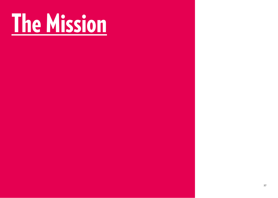# <span id="page-18-0"></span>The Mission

 $\Gamma$  -states  $37$  37  $\sim$  37  $\sim$  37  $\sim$  37  $\sim$  37  $\sim$  37  $\sim$  37  $\sim$  37  $\sim$  37  $\sim$  37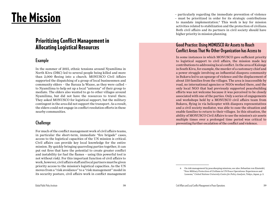# <span id="page-19-0"></span>The Mission

## Prioritizing Conflict Management in Allocating Logistical Resources

#### **Example**

In the summer of 2015, ethnic tensions around Nyamilima in North Kivu (DRC) led to several people being killed and more than 2,000 fleeing into a church. MONUSCO Civil Affairs supported the dispatching of a group of local businessmen and community elders – the Baraza la Wazee, as they were called – to Nyamilima to help set up a local "antenna" of their group to mediate. The elders also wanted to go to other villages around Nyamilima, but did not have the resources to travel there. They asked MONUSCO for logistical support, but the military contingent in the area did not support the transport. As a result, the elders could not engage in conflict resolution efforts in these nearby communities.

#### **Challenge**

For much of the conflict management work of civil affairs teams, in particular the short-term, immediate "fire brigade" cases, access to the logistical capacities of the UN mission is critical. Civil affairs can provide key local knowledge for the entire mission. By quickly bringing quarreling parties together, it can put out fires that have the potential to create greater conflict and instability (or fuel the flames – using this powerful tool is not without risk). For this important function of civil affairs to work, however, civil affairs staff and local partners must be given priority access to the mission's logistical capacities. As the UN moves from a "risk avoidance" to a "risk management" model in its security posture, civil affairs work in conflict management

– particularly regarding the immediate prevention of violence – must be prioritized in order for its strategic contributions to mandate implementation.6 This work is key for mission activities related to stabilization and the protection of civilians. Both civil affairs and its partners in civil society should have higher priority in mission planning.

#### **Good Practice: Using MONUSCO Air Assets to Reach Conflict Areas That No Other Organization has Access to**

In some instances in which MONUSCO gave sufficient priority to logistical support to civil affairs, the mission made key contributions to addressing local conflict. In the area of Kalonge in South Kivu, for example, the murder of a customary chief and a power struggle involving an influential diaspora community in Bukavu led to an upsurge of violence and the displacement of about 150 families from the villages. The area is inaccessible by road, no international agencies or NGOs worked there, and the only local NGO that had previously supported peacebuilding efforts was not welcome because it was perceived to be closely associated with one of the parties. Only a series of engagements and workshops held by a MONUSCO civil affairs team from Bukavu, flying in via helicopter with diaspora representatives and a civil society mediator, was able to ease the situation and enable families to return to their villages. In this situation, the ability of MONUSCO Civil Affairs to use the mission's air assets multiple times over a prolonged time period was critical to preventing further escalation of the conflict and violence.

<sup>6</sup> On risk management by peacekeeping missions, see also: Sebastian von Einsiedel, "Non-Military Protection of Civilians in UN Peace Operations: Experiences and Lessons," *United Nations University Centre for Policy Analysis*, Tokyo, Japan, p. 3.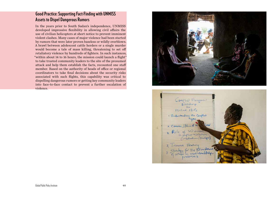#### **Good Practice: Supporting Fact-Finding with UNMISS Assets to Dispel Dangerous Rumors**

In the years prior to South Sudan's independence, UNMISS developed impressive flexibility in allowing civil affairs the use of civilian helicopters at short notice to prevent imminent violent clashes. Many cases of major violence had been started by rumors that were later proven baseless or wildly overblown. A brawl between adolescent cattle herders or a single murder would become a tale of mass killing, threatening to set off retaliatory violence by hundreds of fighters. In such instances, "within about 14 to 16 hours, the mission could launch a flight" to take trusted community leaders to the site of the presumed attack and help them establish the facts, recounted one staff member. Based on the authority of heads of office or regional coordinators to take final decisions about the security risks associated with such flights, this capability was critical to dispelling dangerous rumors or getting key community leaders into face-to-face contact to prevent a further escalation of violence.



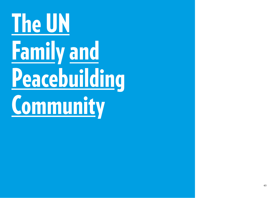# <span id="page-21-0"></span>The UN Family and Peacebuilding **Community**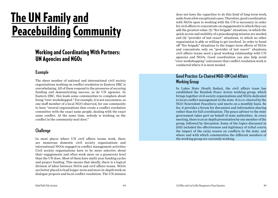# <span id="page-22-0"></span>**The UN Family and Peacebuilding Community**

## Working and Coordinating With Partners: UN Agencies and NGOs

#### **Example**

The sheer number of national and international civil society organizations working on conflict resolution in Eastern DRC is overwhelming. All of them respond to the pressures of securing funding and demonstrating success, as do UN agencies. In Eastern DRC, this leads some communities to complain about being "over-workshopped." For example, it is not uncommon, as one staff member of a local NGO observed, for one community to have "several organizations that create a conflict resolution committee with the exact same people, dealing with the exact same conflict. At the same time, nobody is working on the conflict in the community next door."

#### **Challenge**

In most places where UN civil affairs teams work, there are numerous domestic civil society organizations and international NGOs engaged in conflict management activities. Civil society organizations have to be more selective about their engagements and often work more on a grassroots level than the UN does. Most of them have multi-year funding cycles and project funding. This means that ideally, there is a logical division of labor between NGOs and civil affairs teams. NGOs are better placed to lead longer-term and more in-depth work on dialogue projects and local conflict resolution. The UN mission

does not have the capacities to do this kind of long-term work, aside from a few exceptional cases. Therefore, good coordination with NGOs open to working with the UN is necessary in order for civil affairs to concentrate on engagements to which they can add the greatest value: (1) "fire brigade" situations, in which the quick access and mobility of a peacekeeping mission are needed, and (2) "provider of last resort" situations, in which no other organization is able or willing to get involved. In order to hand off "fire brigade" situations to the longer-term efforts of NGOs and concentrate only on "provider of last resort" situations. civil affairs teams need a good working relationship with UN agencies and NGOs. Good coordination can also help avoid "over-workshopping" and ensure that conflict resolution work is conducted where it is most needed.

#### **Good Practice: Co-Chaired NGO–UN Civil Affairs Working Group**

In Lakes State (South Sudan), the civil affairs team has established the Rumbek Peace Actors working group, which brings together civil society organizations and NGOs dedicated to local conflict management in the state. It is co-chaired by the NGO Nonviolent Peaceforce and meets on a monthly basis. So far, it provides a forum for discussion and information sharing rather than for full coordination. The peace advisor to the state government takes part on behalf of state authorities. At every meeting, there is an in-depth presentation by one member of the group, followed by discussion. Some of the topics discussed in 2015 included the effectiveness and legitimacy of tribal courts, the impact of the rainy season on conflicts in the state, and where and with which communities the different members of the working group are currently working.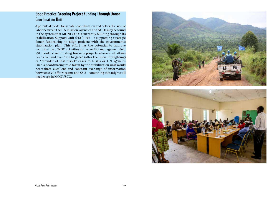#### <span id="page-23-0"></span>**Good Practice: Steering Project Funding Through Donor Coordination Unit**

A potential model for greater coordination and better division of labor between the UN mission, agencies and NGOs may be found in the system that MONUSCO is currently building through its Stabilization Support Unit (SSU). SSU is supporting strategic donor fundraising to align projects with the government's stabilization plan. This effort has the potential to improve coordination of NGO activities in the conflict management field. SSU could steer funding towards projects where civil affairs needs to hand over "fire brigade" (after the initial firefighting) or "provider of last resort" cases to NGOs or UN agencies. Such a coordinating role taken by the stabilization unit would necessitate excellent and constant exchange of information between civil affairs teams and SSU – something that might still need work in MONUSCO.



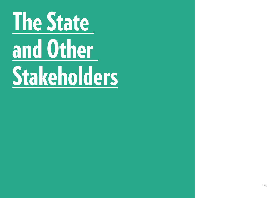# <span id="page-24-0"></span>The State and Other Stakeholders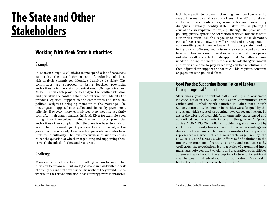# The State and Other **Stakeholders**

## Working With Weak State Authorities

#### **Example**

In Eastern Congo, civil affairs teams spend a lot of resources supporting the establishment and functioning of local risk analysis committees (Comités d'analyse de risks). The committees are supposed to bring together provincial authorities, civil society organizations, UN agencies and MONUSCO in each province to analyze the conflict situation and prioritize the conflicts that need intervention. MONUSCO provides logistical support to the committees and lends its political weight to bringing members to the meetings. The meetings are supposed to be called and chaired by government officials. However, many committees stop meeting regularly soon after their establishment. In North Kivu, for example, even though they themselves created the committees, provincial authorities often complain that they are too busy to chair or even attend the meetings. Appointments are cancelled, or the government sends only lower-rank representatives who have little to no authority. The low effectiveness of such meetings raises the question of whether organizing and supporting them is worth the mission's time and resources.

#### **Challenge**

Many civil affairs teams face the challenge of how to ensure that their conflict management work goes hand in hand with the task of strengthening state authority. Even where they would like to work with the relevant mission, host-country governments often

lack the capacity to lead conflict management work, as was the case with some risk analysis committees in the DRC. In a related challenge, peace conferences, roundtables and community dialogues regularly identify state institutions as playing a crucial role in implementation, e.g., through the provision of policing, justice systems or correction services. But these state authorities often lack the capacity to meet those demands. Police forces are too few, not well trained and not respected in communities; courts lack judges with the appropriate mandate to try capital offenses; and prisons are overcrowded and lack basic supplies. As a result, local expectations that these peace initiatives will be created are disappointed. Civil affairs teams need to find a way to constantly reassess the role that government authorities are able to play in leading conflict resolution and then adjust their support to that role. This requires constant engagement with political elites.

#### **Good Practice: Supporting Reconciliation of Leaders Through Logistical Support**

After many years of mutual cattle raiding and associated violence between the Gok and Pakam communities from Cuibet and Rumbek North counties in Lakes State (South Sudan), community leaders on both sides were fatigued by the situation, which created an opening towards reconciliation. To assist the efforts of local chiefs, an unusually experienced and committed county commissioner and the governor's "peace adviser," UNMISS Civil Affairs provided logistical support by shuttling community leaders from both sides to meetings for discussing their issues. The two communities then appointed representatives who met at a roundtable organized by the NGO ACTED and UNMISS Civil Affairs to find solutions to the underlying problems of resource sharing and road access. By April 2015, the negotiations led to a series of ceremonial intermarriages between the two clans and a cessation-of-hostilities agreement, which – with the exception of a brief but significant clash between hundreds of youth from both sides on May 1 – still held at the time of this research in June 2015.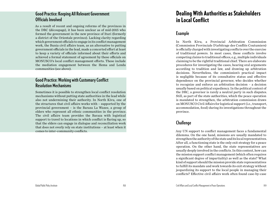#### **Good Practice: Keeping All Relevant Government Officials Involved**

As a result of recent and ongoing reforms of the provinces in the DRC (découpage), it has been unclear as of mid-2015 who formed the government in the new province of Ituri (formerly a district of the Orientale province). Lacking clarity regarding which government officials to engage in its conflict management work, the Bunia civil affairs team, as an alternative to putting government officials in the lead, made a concerted effort at least to keep a variety of officials informed about their efforts and achieved a formal statement of agreement by these officials on MONUSCO's local conflict management efforts. These include the mediation engagement between the Hema and Lendu communities (see above).

#### **Good Practice: Working with Customary Conflict Resolution Mechanisms**

Sometimes it is possible to strengthen local conflict resolution mechanisms without putting state authorities in the lead while also not undermining their authority. In North Kivu, one of the structures that civil affairs works with – supported by the provincial government – is the Baraza La Wazee, a group of elders who represent all ethnic communities in the province. The civil affairs team provides the Baraza with logistical support to travel to locations in which conflict is flaring up, so that the elders can engage in dialogue and reconciliation work that does not overly rely on state institutions – at least when it comes to inter-community conflicts.

## Dealing With Authorities as Stakeholders in Local Conflict

#### **Example**

In North Kivu, a Provincial Arbitration Commission (Commission Provinciale D'arbitrage des Conflits Coutumiers) is officially charged with investigating conflicts over the exercise of traditional powers. In most cases, these conflicts involve competing claims to traditional offices, e.g., multiple individuals claiming to be the rightful traditional chief. There are elaborate procedures for investigating the cases, hearing oral arguments according to tradition and law, and drawing up arbitration decisions. Nevertheless, the commission's practical impact is negligible because of its consultative status and effective dependence on the provincial governor, who decides whether to recognize and enforce an arbitration decision – a decision usually based on political expediency. In the political context of the DRC, a governor is rarely a neutral party in such disputes. Still, as part of the state authorities, which the peace operation is mandated to strengthen, the arbitration commission draws on MONUSCO Civil Affairs for logistical support (i.e., transport, accommodation, food) during its investigations throughout the province.

#### **Challenge**

Any UN support to conflict management faces a fundamental dilemma. On the one hand, missions are usually mandated to strengthen the authority of the state and its local representatives. After all, a functioning state is the only exit strategy for a peace operation. On the other hand, the state representatives are usually deeply involved in the conflicts. In this context, how can the mission support conflict management (which often requires a significant degree of impartiality) as well as the state? What kind of support should the mission provide state representatives to fulfill its mandate and work towards its exit strategy without jeopardizing its support to the local people in managing their conflicts? Effective civil affairs work often found case-by-case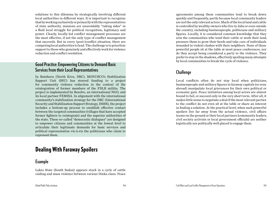solutions to this dilemma by strategically involving different local authorities in different ways. It is important to recognize that by working exclusively or primarily with the representatives of state authority, missions are unavoidably "taking sides" in a fluid local struggle for political recognition, legitimacy and power. Clearly, locally led conflict management processes are the most effective, if not the only type of conflict management that succeeds. But in every (post-)conflict situation, there are competing local authorities to lead. The challenge is to prioritize support to those who genuinely and effectively work for violence reduction and conflict resolution.

#### **Good Practice: Empowering Citizens to Demand Basic Services from their Local Representatives**

In Rutshuru (North Kivu, DRC), MONUSCO's Stabilization Support Unit (SSU) has steered funding to a project for community violence reduction in the context of the reintegration of former members of the FDLR militia. The project is implemented by Resolve, an international NGO, and its local partner FEMISA. In alignment with the international community's stabilization strategy for the DRC (International Security and Stabilization Support Strategy, ISSSS), the project includes a bottom-up process to establish effective contact between the targeted communities (villages that have accepted former fighters to reintegrate) and the superior authorities of the state. These so-called "democratic dialogues" are designed to empower citizens and communities at the lowest level to articulate their legitimate demands for basic services and political representation vis-à-vis the politicians who claim to represent them.

## Dealing With Faraway Spoilers

#### **Example**

Lakes State (South Sudan) appears stuck in a cycle of cattle raiding and mass violence between various Dinka clans. Peace

agreements among these communities tend to break down quickly and frequently, partly because local community leaders are not the only relevant actors. Much of the local land and cattle is controlled by wealthy owners who live in Juba or even outside the country, including businesspeople, politicians and military figures. Locally, it is considered common knowledge that they arm the communities who tend their cattle or work their land, pressure them to grow their herds and take care of individuals wounded in violent clashes with their neighbors. None of these powerful people sit at the table at most peace conferences, nor do they accept being considered a party to the violence. They prefer to stay in the shadows, effectively spoiling many attempts by local communities to break the cycle of violence.

#### **Challenge**

Local conflicts often do not stay local when politicians, businesspeople and military figures in faraway capitals (or even abroad) manipulate local grievances for their own political or economic gain. Peace initiatives among local actors are almost bound to fail, or succeed only in the very short term. After all, it makes little sense to negotiate a deal if the most relevant parties to the conflict do not even sit at the table or share an interest in finding a solution. At the practical level, when such powerful spoilers live far away from the actual violence, civil affairs teams on the ground or their local partners (community leaders, civil society activists or local government officials) are neither logistically nor politically well placed to engage them.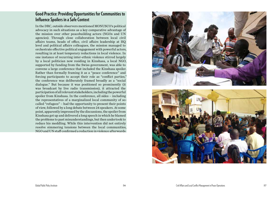#### **Good Practice: Providing Opportunities for Communities to Influence Spoilers in a Safe Context**

In the DRC, outside observers mentioned MONUSCO's political advocacy in such situations as a key comparative advantage of the mission over other peacebuilding actors (NGOs and UN agencies). Through close collaboration between local civil affairs teams, heads of office, civil affairs leadership at HQ level and political affairs colleagues, the mission managed to orchestrate effective political engagement with powerful actors, resulting in at least temporary reductions in local violence. In one instance of recurring inter-ethnic violence stirred largely by a local politician now residing in Kinshasa, a local NGO, supported by funding from the Swiss government, was able to convene a large conference that included the Kinshasa spoiler. Rather than formally framing it as a "peace conference" and forcing participants to accept their role as "conflict parties," the conference was deliberately framed broadly as a "social dialogue." But because it was positioned so prominently (it was broadcast by live radio transmission), it attracted the participation of all relevant stakeholders, including the powerful spoiler from Kinshasa. In the conference, all sides – including the representatives of a marginalized local community of socalled "refugees" – had the opportunity to present their points of view, followed by a long debate between 24 speakers. At some point, apparently impressed by the discussions, the spoiler from Kinshasa got up and delivered a long speech in which he blamed the problems to past misunderstandings, but then undertook to reduce his meddling. While this intervention did not entirely resolve simmering tensions between the local communities, NGO and UN staff confirmed a reduction in violence afterwards.



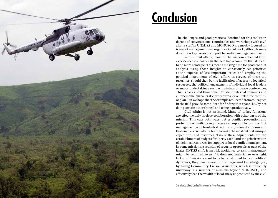<span id="page-29-0"></span>

# Conclusion

The challenges and good practices identified for this toolkit in dozens of conversations, roundtables and workshops with civil affairs staff in UNMISS and MONUSCO are mostly focused on issues of management and organization of work, although some do address key issues of support to conflict management itself.

Within civil affairs, most of the wisdom collected from experienced colleagues in the field had a common thrust: a call to be more strategic. This means making time for good conflict analysis, using those insights to consciously set priorities at the expense of less important issues and employing the political instruments of civil affairs in service of these top priorities, should they be the facilitation of access to logistical resources, the political engagement of individual local leaders or major undertakings such as trainings or peace conferences. This is easier said than done. Constant external demands and cumbersome bureaucratic procedures leave little time to think or plan. But we hope that the examples collected from colleagues in the field provide some ideas for finding that space (i.e., by not doing certain other things) and using it productively.

Civil affairs is not an island. Many of its key functions are effective only in close collaboration with other parts of the mission. This cuts both ways: better conflict prevention and protection of civilians require greater support to local conflict management, which entails structural adjustments in a mission that enable a civil affairs team to make the most out of its unique capabilities and resources. Two of these adjustments are the establishment of budgets for "petty cash" and the prioritization of logistical resources for support to local conflict management. In some missions, a revision of security protocols as part of the larger UNDSS shift from risk avoidance to risk management might be required, even if it does not materialize overnight. In turn, if missions want to be better attuned to local political dynamics, they must invest in on-the-ground knowledge (e.g., by hiring Community Liaison Assistants, which is currently underway in a number of missions beyond MONUSCO) and effectively feed the wealth of local analysis produced by the civil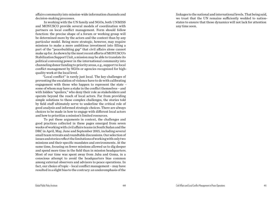<span id="page-30-0"></span>affairs community into mission-wide information channels and decision-making processes.

In working with the UN family and NGOs, both UNMISS and MONUSCO provide several models of coordination with partners on local conflict management. Form should follow function: the precise shape of a forum or working group will be determined more by the actors and the context than by any particular model. Being more strategic, however, may require missions to make a more ambitious investment into filling a part of the "peacebuilding gap" that civil affairs alone cannot make up for. As shown by the most recent efforts of MONUSCO's Stabilization Support Unit, a mission may be able to translate its political convening power in the international community into channeling donor funding to priority areas, e.g., support to local conflict management by NGOs or agencies recognized for highquality work at the local level.

"Local conflict" is rarely just local. The key challenges of preventing the escalation of violence have to do with calibrating engagement with those who happen to represent the state – some of whom may have a stake in the conflict themselves – and with hidden "spoilers," who deny their role as stakeholders and operate beyond the reach of local actors. Far from providing simple solutions to these complex challenges, the stories told by field staff ultimately serve to underline the critical role of good analysis and informed strategic choices. There are always choices to be made in how to engage with different local actors and how to prioritize a mission's limited resources.

To put these arguments in context, the challenges and good practices collected in these pages emerged from seven weeks of working with civil affairs teams in South Sudan and the DRC in April, May, June and September 2015, including several small team retreats and roundtable discussions. Our selection of issues and stories reflect the limitations of working with only two missions and their specific mandates and environments. At the same time, focusing on fewer missions allowed us to dig deeper and spend more time in the field than in mission headquarters. Most of our time was spent away from Juba and Goma, in a conscious attempt to avoid the headquarters bias common among external observers and advisors to peace operations. In fact, our choice of topic – local conflict management – may have resulted in a slight bias to the contrary: an underemphasis of the

linkages to the national and international levels. That being said, we trust that the UN remains sufficiently wedded to nationstates to ensure that those dynamics will not lack for attention any time soon.